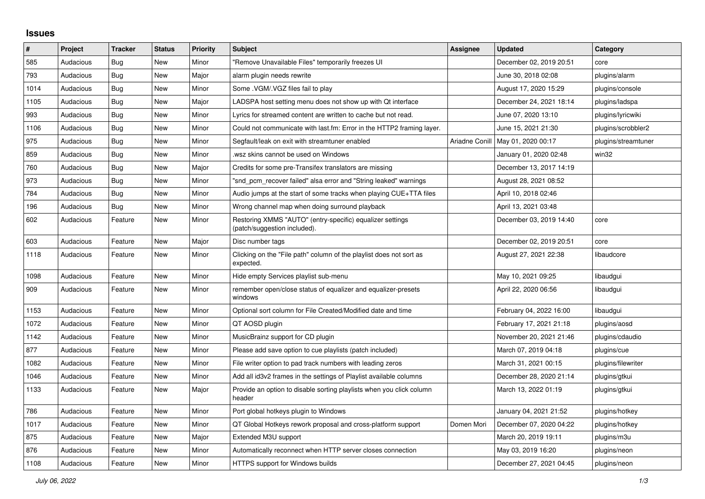## **Issues**

| $\vert$ # | Project   | <b>Tracker</b> | <b>Status</b> | <b>Priority</b> | <b>Subject</b>                                                                            | <b>Assignee</b> | <b>Updated</b>          | Category            |
|-----------|-----------|----------------|---------------|-----------------|-------------------------------------------------------------------------------------------|-----------------|-------------------------|---------------------|
| 585       | Audacious | Bug            | <b>New</b>    | Minor           | "Remove Unavailable Files" temporarily freezes UI                                         |                 | December 02, 2019 20:51 | core                |
| 793       | Audacious | Bug            | <b>New</b>    | Major           | alarm plugin needs rewrite                                                                |                 | June 30, 2018 02:08     | plugins/alarm       |
| 1014      | Audacious | Bug            | <b>New</b>    | Minor           | Some .VGM/.VGZ files fail to play                                                         |                 | August 17, 2020 15:29   | plugins/console     |
| 1105      | Audacious | <b>Bug</b>     | <b>New</b>    | Major           | LADSPA host setting menu does not show up with Qt interface                               |                 | December 24, 2021 18:14 | plugins/ladspa      |
| 993       | Audacious | Bug            | New           | Minor           | Lyrics for streamed content are written to cache but not read.                            |                 | June 07, 2020 13:10     | plugins/lyricwiki   |
| 1106      | Audacious | Bug            | New           | Minor           | Could not communicate with last.fm: Error in the HTTP2 framing layer.                     |                 | June 15, 2021 21:30     | plugins/scrobbler2  |
| 975       | Audacious | <b>Bug</b>     | <b>New</b>    | Minor           | Segfault/leak on exit with streamtuner enabled                                            | Ariadne Conill  | May 01, 2020 00:17      | plugins/streamtuner |
| 859       | Audacious | <b>Bug</b>     | <b>New</b>    | Minor           | wsz skins cannot be used on Windows                                                       |                 | January 01, 2020 02:48  | win32               |
| 760       | Audacious | Bug            | <b>New</b>    | Major           | Credits for some pre-Transifex translators are missing                                    |                 | December 13, 2017 14:19 |                     |
| 973       | Audacious | Bug            | <b>New</b>    | Minor           | "snd pcm recover failed" alsa error and "String leaked" warnings                          |                 | August 28, 2021 08:52   |                     |
| 784       | Audacious | Bug            | <b>New</b>    | Minor           | Audio jumps at the start of some tracks when playing CUE+TTA files                        |                 | April 10, 2018 02:46    |                     |
| 196       | Audacious | Bug            | <b>New</b>    | Minor           | Wrong channel map when doing surround playback                                            |                 | April 13, 2021 03:48    |                     |
| 602       | Audacious | Feature        | New           | Minor           | Restoring XMMS "AUTO" (entry-specific) equalizer settings<br>(patch/suggestion included). |                 | December 03, 2019 14:40 | core                |
| 603       | Audacious | Feature        | <b>New</b>    | Major           | Disc number tags                                                                          |                 | December 02, 2019 20:51 | core                |
| 1118      | Audacious | Feature        | New           | Minor           | Clicking on the "File path" column of the playlist does not sort as<br>expected.          |                 | August 27, 2021 22:38   | libaudcore          |
| 1098      | Audacious | Feature        | <b>New</b>    | Minor           | Hide empty Services playlist sub-menu                                                     |                 | May 10, 2021 09:25      | libaudgui           |
| 909       | Audacious | Feature        | New           | Minor           | remember open/close status of equalizer and equalizer-presets<br>windows                  |                 | April 22, 2020 06:56    | libaudgui           |
| 1153      | Audacious | Feature        | <b>New</b>    | Minor           | Optional sort column for File Created/Modified date and time                              |                 | February 04, 2022 16:00 | libaudgui           |
| 1072      | Audacious | Feature        | <b>New</b>    | Minor           | QT AOSD plugin                                                                            |                 | February 17, 2021 21:18 | plugins/aosd        |
| 1142      | Audacious | Feature        | <b>New</b>    | Minor           | MusicBrainz support for CD plugin                                                         |                 | November 20, 2021 21:46 | plugins/cdaudio     |
| 877       | Audacious | Feature        | <b>New</b>    | Minor           | Please add save option to cue playlists (patch included)                                  |                 | March 07, 2019 04:18    | plugins/cue         |
| 1082      | Audacious | Feature        | New           | Minor           | File writer option to pad track numbers with leading zeros                                |                 | March 31, 2021 00:15    | plugins/filewriter  |
| 1046      | Audacious | Feature        | <b>New</b>    | Minor           | Add all id3v2 frames in the settings of Playlist available columns                        |                 | December 28, 2020 21:14 | plugins/gtkui       |
| 1133      | Audacious | Feature        | New           | Major           | Provide an option to disable sorting playlists when you click column<br>header            |                 | March 13, 2022 01:19    | plugins/gtkui       |
| 786       | Audacious | Feature        | New           | Minor           | Port global hotkeys plugin to Windows                                                     |                 | January 04, 2021 21:52  | plugins/hotkey      |
| 1017      | Audacious | Feature        | <b>New</b>    | Minor           | QT Global Hotkeys rework proposal and cross-platform support                              | Domen Mori      | December 07, 2020 04:22 | plugins/hotkey      |
| 875       | Audacious | Feature        | New           | Major           | Extended M3U support                                                                      |                 | March 20, 2019 19:11    | plugins/m3u         |
| 876       | Audacious | Feature        | <b>New</b>    | Minor           | Automatically reconnect when HTTP server closes connection                                |                 | May 03, 2019 16:20      | plugins/neon        |
| 1108      | Audacious | Feature        | New           | Minor           | HTTPS support for Windows builds                                                          |                 | December 27, 2021 04:45 | plugins/neon        |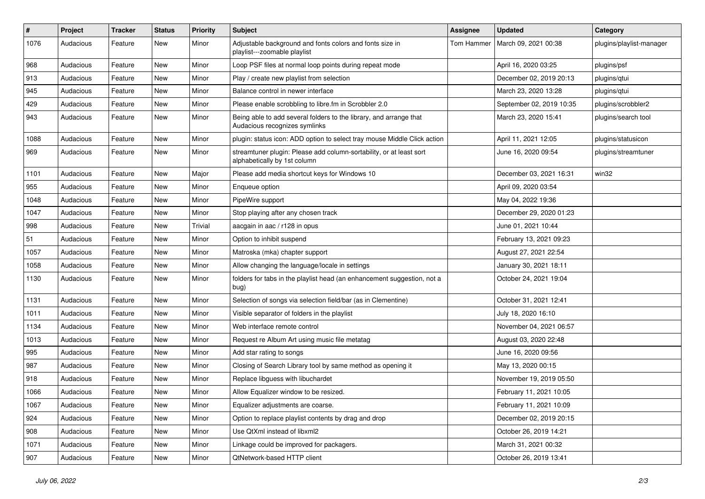| $\#$ | Project   | <b>Tracker</b> | <b>Status</b> | <b>Priority</b> | <b>Subject</b>                                                                                      | <b>Assignee</b> | <b>Updated</b>           | Category                 |
|------|-----------|----------------|---------------|-----------------|-----------------------------------------------------------------------------------------------------|-----------------|--------------------------|--------------------------|
| 1076 | Audacious | Feature        | New           | Minor           | Adjustable background and fonts colors and fonts size in<br>playlist---zoomable playlist            | Tom Hammer      | March 09, 2021 00:38     | plugins/playlist-manager |
| 968  | Audacious | Feature        | New           | Minor           | Loop PSF files at normal loop points during repeat mode                                             |                 | April 16, 2020 03:25     | plugins/psf              |
| 913  | Audacious | Feature        | New           | Minor           | Play / create new playlist from selection                                                           |                 | December 02, 2019 20:13  | plugins/qtui             |
| 945  | Audacious | Feature        | New           | Minor           | Balance control in newer interface                                                                  |                 | March 23, 2020 13:28     | plugins/qtui             |
| 429  | Audacious | Feature        | New           | Minor           | Please enable scrobbling to libre.fm in Scrobbler 2.0                                               |                 | September 02, 2019 10:35 | plugins/scrobbler2       |
| 943  | Audacious | Feature        | <b>New</b>    | Minor           | Being able to add several folders to the library, and arrange that<br>Audacious recognizes symlinks |                 | March 23, 2020 15:41     | plugins/search tool      |
| 1088 | Audacious | Feature        | <b>New</b>    | Minor           | plugin: status icon: ADD option to select tray mouse Middle Click action                            |                 | April 11, 2021 12:05     | plugins/statusicon       |
| 969  | Audacious | Feature        | New           | Minor           | streamtuner plugin: Please add column-sortability, or at least sort<br>alphabetically by 1st column |                 | June 16, 2020 09:54      | plugins/streamtuner      |
| 1101 | Audacious | Feature        | <b>New</b>    | Major           | Please add media shortcut keys for Windows 10                                                       |                 | December 03, 2021 16:31  | win32                    |
| 955  | Audacious | Feature        | New           | Minor           | Enqueue option                                                                                      |                 | April 09, 2020 03:54     |                          |
| 1048 | Audacious | Feature        | New           | Minor           | PipeWire support                                                                                    |                 | May 04, 2022 19:36       |                          |
| 1047 | Audacious | Feature        | <b>New</b>    | Minor           | Stop playing after any chosen track                                                                 |                 | December 29, 2020 01:23  |                          |
| 998  | Audacious | Feature        | New           | Trivial         | aacgain in aac / r128 in opus                                                                       |                 | June 01, 2021 10:44      |                          |
| 51   | Audacious | Feature        | New           | Minor           | Option to inhibit suspend                                                                           |                 | February 13, 2021 09:23  |                          |
| 1057 | Audacious | Feature        | <b>New</b>    | Minor           | Matroska (mka) chapter support                                                                      |                 | August 27, 2021 22:54    |                          |
| 1058 | Audacious | Feature        | New           | Minor           | Allow changing the language/locale in settings                                                      |                 | January 30, 2021 18:11   |                          |
| 1130 | Audacious | Feature        | New           | Minor           | folders for tabs in the playlist head (an enhancement suggestion, not a<br>bug)                     |                 | October 24, 2021 19:04   |                          |
| 1131 | Audacious | Feature        | <b>New</b>    | Minor           | Selection of songs via selection field/bar (as in Clementine)                                       |                 | October 31, 2021 12:41   |                          |
| 1011 | Audacious | Feature        | <b>New</b>    | Minor           | Visible separator of folders in the playlist                                                        |                 | July 18, 2020 16:10      |                          |
| 1134 | Audacious | Feature        | New           | Minor           | Web interface remote control                                                                        |                 | November 04, 2021 06:57  |                          |
| 1013 | Audacious | Feature        | New           | Minor           | Request re Album Art using music file metatag                                                       |                 | August 03, 2020 22:48    |                          |
| 995  | Audacious | Feature        | New           | Minor           | Add star rating to songs                                                                            |                 | June 16, 2020 09:56      |                          |
| 987  | Audacious | Feature        | New           | Minor           | Closing of Search Library tool by same method as opening it                                         |                 | May 13, 2020 00:15       |                          |
| 918  | Audacious | Feature        | <b>New</b>    | Minor           | Replace libguess with libuchardet                                                                   |                 | November 19, 2019 05:50  |                          |
| 1066 | Audacious | Feature        | New           | Minor           | Allow Equalizer window to be resized.                                                               |                 | February 11, 2021 10:05  |                          |
| 1067 | Audacious | Feature        | New           | Minor           | Equalizer adjustments are coarse.                                                                   |                 | February 11, 2021 10:09  |                          |
| 924  | Audacious | Feature        | New           | Minor           | Option to replace playlist contents by drag and drop                                                |                 | December 02, 2019 20:15  |                          |
| 908  | Audacious | Feature        | New           | Minor           | Use QtXml instead of libxml2                                                                        |                 | October 26, 2019 14:21   |                          |
| 1071 | Audacious | Feature        | New           | Minor           | Linkage could be improved for packagers.                                                            |                 | March 31, 2021 00:32     |                          |
| 907  | Audacious | Feature        | New           | Minor           | QtNetwork-based HTTP client                                                                         |                 | October 26, 2019 13:41   |                          |